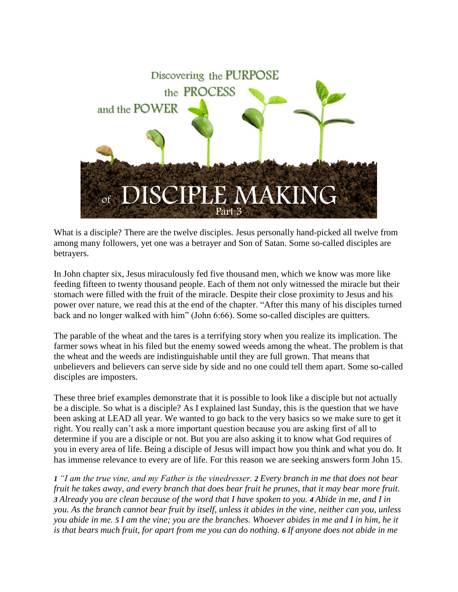

What is a disciple? There are the twelve disciples. Jesus personally hand-picked all twelve from among many followers, yet one was a betrayer and Son of Satan. Some so-called disciples are betrayers.

In John chapter six, Jesus miraculously fed five thousand men, which we know was more like feeding fifteen to twenty thousand people. Each of them not only witnessed the miracle but their stomach were filled with the fruit of the miracle. Despite their close proximity to Jesus and his power over nature, we read this at the end of the chapter. "After this many of his disciples turned back and no longer walked with him" (John 6:66). Some so-called disciples are quitters.

The parable of the wheat and the tares is a terrifying story when you realize its implication. The farmer sows wheat in his filed but the enemy sowed weeds among the wheat. The problem is that the wheat and the weeds are indistinguishable until they are full grown. That means that unbelievers and believers can serve side by side and no one could tell them apart. Some so-called disciples are imposters.

These three brief examples demonstrate that it is possible to look like a disciple but not actually be a disciple. So what is a disciple? As I explained last Sunday, this is the question that we have been asking at LEAD all year. We wanted to go back to the very basics so we make sure to get it right. You really can't ask a more important question because you are asking first of all to determine if you are a disciple or not. But you are also asking it to know what God requires of you in every area of life. Being a disciple of Jesus will impact how you think and what you do. It has immense relevance to every are of life. For this reason we are seeking answers form John 15.

*1 "I am the true vine, and my Father is the vinedresser. 2 Every branch in me that does not bear fruit he takes away, and every branch that does bear fruit he prunes, that it may bear more fruit. 3 Already you are clean because of the word that I have spoken to you. 4 Abide in me, and I in you. As the branch cannot bear fruit by itself, unless it abides in the vine, neither can you, unless you abide in me. 5 I am the vine; you are the branches. Whoever abides in me and I in him, he it is that bears much fruit, for apart from me you can do nothing. 6 If anyone does not abide in me*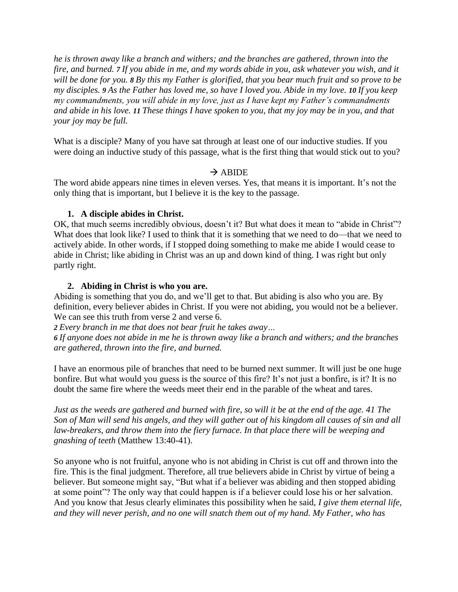*he is thrown away like a branch and withers; and the branches are gathered, thrown into the fire, and burned. 7 If you abide in me, and my words abide in you, ask whatever you wish, and it will be done for you. 8 By this my Father is glorified, that you bear much fruit and so prove to be my disciples. 9 As the Father has loved me, so have I loved you. Abide in my love. 10 If you keep my commandments, you will abide in my love, just as I have kept my Father's commandments and abide in his love. 11 These things I have spoken to you, that my joy may be in you, and that your joy may be full.*

What is a disciple? Many of you have sat through at least one of our inductive studies. If you were doing an inductive study of this passage, what is the first thing that would stick out to you?

# $\rightarrow$  ABIDE

The word abide appears nine times in eleven verses. Yes, that means it is important. It's not the only thing that is important, but I believe it is the key to the passage.

# **1. A disciple abides in Christ.**

OK, that much seems incredibly obvious, doesn't it? But what does it mean to "abide in Christ"? What does that look like? I used to think that it is something that we need to do—that we need to actively abide. In other words, if I stopped doing something to make me abide I would cease to abide in Christ; like abiding in Christ was an up and down kind of thing. I was right but only partly right.

## **2. Abiding in Christ is who you are.**

Abiding is something that you do, and we'll get to that. But abiding is also who you are. By definition, every believer abides in Christ. If you were not abiding, you would not be a believer. We can see this truth from verse 2 and verse 6.

*2 Every branch in me that does not bear fruit he takes away…*

*6 If anyone does not abide in me he is thrown away like a branch and withers; and the branches are gathered, thrown into the fire, and burned.*

I have an enormous pile of branches that need to be burned next summer. It will just be one huge bonfire. But what would you guess is the source of this fire? It's not just a bonfire, is it? It is no doubt the same fire where the weeds meet their end in the parable of the wheat and tares.

*Just as the weeds are gathered and burned with fire, so will it be at the end of the age. 41 The Son of Man will send his angels, and they will gather out of his kingdom all causes of sin and all law-breakers, and throw them into the fiery furnace. In that place there will be weeping and gnashing of teeth* (Matthew 13:40-41).

So anyone who is not fruitful, anyone who is not abiding in Christ is cut off and thrown into the fire. This is the final judgment. Therefore, all true believers abide in Christ by virtue of being a believer. But someone might say, "But what if a believer was abiding and then stopped abiding at some point"? The only way that could happen is if a believer could lose his or her salvation. And you know that Jesus clearly eliminates this possibility when he said, *I give them eternal life, and they will never perish, and no one will snatch them out of my hand. My Father, who has*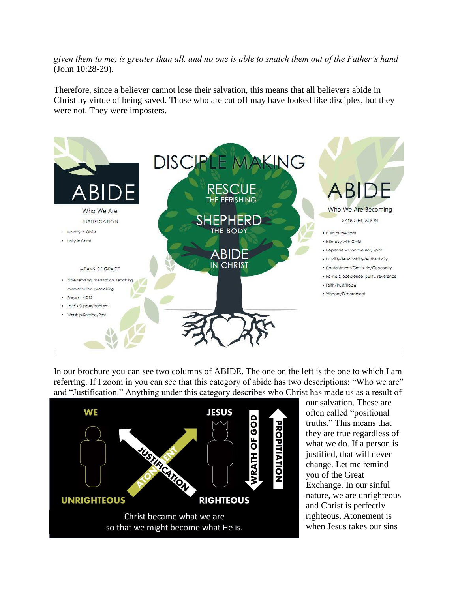*given them to me, is greater than all, and no one is able to snatch them out of the Father's hand* (John 10:28-29).

Therefore, since a believer cannot lose their salvation, this means that all believers abide in Christ by virtue of being saved. Those who are cut off may have looked like disciples, but they were not. They were imposters.



In our brochure you can see two columns of ABIDE. The one on the left is the one to which I am referring. If I zoom in you can see that this category of abide has two descriptions: "Who we are" and "Justification." Anything under this category describes who Christ has made us as a result of



our salvation. These are often called "positional truths." This means that they are true regardless of what we do. If a person is justified, that will never change. Let me remind you of the Great Exchange. In our sinful nature, we are unrighteous and Christ is perfectly righteous. Atonement is when Jesus takes our sins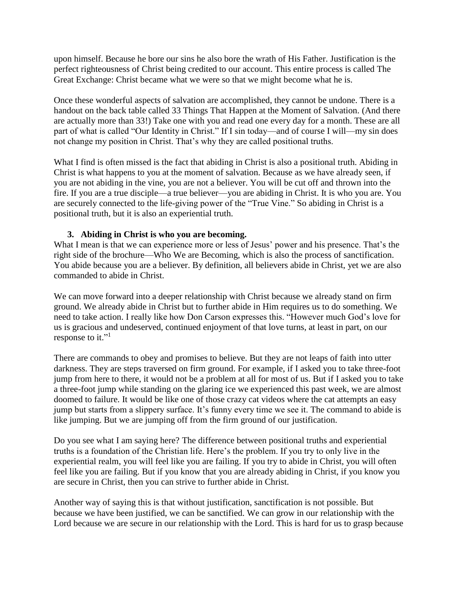upon himself. Because he bore our sins he also bore the wrath of His Father. Justification is the perfect righteousness of Christ being credited to our account. This entire process is called The Great Exchange: Christ became what we were so that we might become what he is.

Once these wonderful aspects of salvation are accomplished, they cannot be undone. There is a handout on the back table called 33 Things That Happen at the Moment of Salvation. (And there are actually more than 33!) Take one with you and read one every day for a month. These are all part of what is called "Our Identity in Christ." If I sin today—and of course I will—my sin does not change my position in Christ. That's why they are called positional truths.

What I find is often missed is the fact that abiding in Christ is also a positional truth. Abiding in Christ is what happens to you at the moment of salvation. Because as we have already seen, if you are not abiding in the vine, you are not a believer. You will be cut off and thrown into the fire. If you are a true disciple—a true believer—you are abiding in Christ. It is who you are. You are securely connected to the life-giving power of the "True Vine." So abiding in Christ is a positional truth, but it is also an experiential truth.

## **3. Abiding in Christ is who you are becoming.**

What I mean is that we can experience more or less of Jesus' power and his presence. That's the right side of the brochure—Who We are Becoming, which is also the process of sanctification. You abide because you are a believer. By definition, all believers abide in Christ, yet we are also commanded to abide in Christ.

We can move forward into a deeper relationship with Christ because we already stand on firm ground. We already abide in Christ but to further abide in Him requires us to do something. We need to take action. I really like how Don Carson expresses this. "However much God's love for us is gracious and undeserved, continued enjoyment of that love turns, at least in part, on our response to it."<sup>1</sup>

There are commands to obey and promises to believe. But they are not leaps of faith into utter darkness. They are steps traversed on firm ground. For example, if I asked you to take three-foot jump from here to there, it would not be a problem at all for most of us. But if I asked you to take a three-foot jump while standing on the glaring ice we experienced this past week, we are almost doomed to failure. It would be like one of those crazy cat videos where the cat attempts an easy jump but starts from a slippery surface. It's funny every time we see it. The command to abide is like jumping. But we are jumping off from the firm ground of our justification.

Do you see what I am saying here? The difference between positional truths and experiential truths is a foundation of the Christian life. Here's the problem. If you try to only live in the experiential realm, you will feel like you are failing. If you try to abide in Christ, you will often feel like you are failing. But if you know that you are already abiding in Christ, if you know you are secure in Christ, then you can strive to further abide in Christ.

Another way of saying this is that without justification, sanctification is not possible. But because we have been justified, we can be sanctified. We can grow in our relationship with the Lord because we are secure in our relationship with the Lord. This is hard for us to grasp because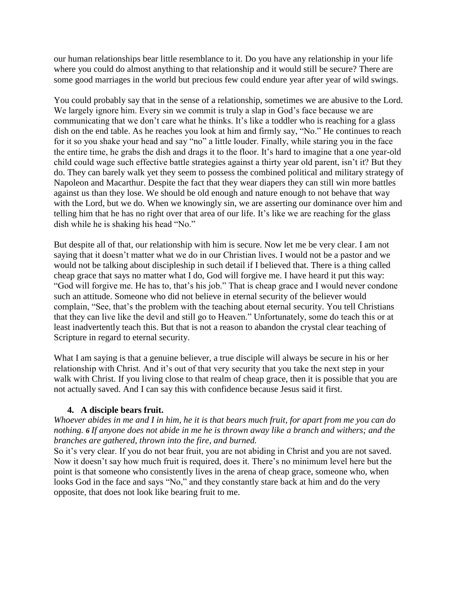our human relationships bear little resemblance to it. Do you have any relationship in your life where you could do almost anything to that relationship and it would still be secure? There are some good marriages in the world but precious few could endure year after year of wild swings.

You could probably say that in the sense of a relationship, sometimes we are abusive to the Lord. We largely ignore him. Every sin we commit is truly a slap in God's face because we are communicating that we don't care what he thinks. It's like a toddler who is reaching for a glass dish on the end table. As he reaches you look at him and firmly say, "No." He continues to reach for it so you shake your head and say "no" a little louder. Finally, while staring you in the face the entire time, he grabs the dish and drags it to the floor. It's hard to imagine that a one year-old child could wage such effective battle strategies against a thirty year old parent, isn't it? But they do. They can barely walk yet they seem to possess the combined political and military strategy of Napoleon and Macarthur. Despite the fact that they wear diapers they can still win more battles against us than they lose. We should be old enough and nature enough to not behave that way with the Lord, but we do. When we knowingly sin, we are asserting our dominance over him and telling him that he has no right over that area of our life. It's like we are reaching for the glass dish while he is shaking his head "No."

But despite all of that, our relationship with him is secure. Now let me be very clear. I am not saying that it doesn't matter what we do in our Christian lives. I would not be a pastor and we would not be talking about discipleship in such detail if I believed that. There is a thing called cheap grace that says no matter what I do, God will forgive me. I have heard it put this way: "God will forgive me. He has to, that's his job." That is cheap grace and I would never condone such an attitude. Someone who did not believe in eternal security of the believer would complain, "See, that's the problem with the teaching about eternal security. You tell Christians that they can live like the devil and still go to Heaven." Unfortunately, some do teach this or at least inadvertently teach this. But that is not a reason to abandon the crystal clear teaching of Scripture in regard to eternal security.

What I am saying is that a genuine believer, a true disciple will always be secure in his or her relationship with Christ. And it's out of that very security that you take the next step in your walk with Christ. If you living close to that realm of cheap grace, then it is possible that you are not actually saved. And I can say this with confidence because Jesus said it first.

# **4. A disciple bears fruit.**

*Whoever abides in me and I in him, he it is that bears much fruit, for apart from me you can do nothing. 6 If anyone does not abide in me he is thrown away like a branch and withers; and the branches are gathered, thrown into the fire, and burned.*

So it's very clear. If you do not bear fruit, you are not abiding in Christ and you are not saved. Now it doesn't say how much fruit is required, does it. There's no minimum level here but the point is that someone who consistently lives in the arena of cheap grace, someone who, when looks God in the face and says "No," and they constantly stare back at him and do the very opposite, that does not look like bearing fruit to me.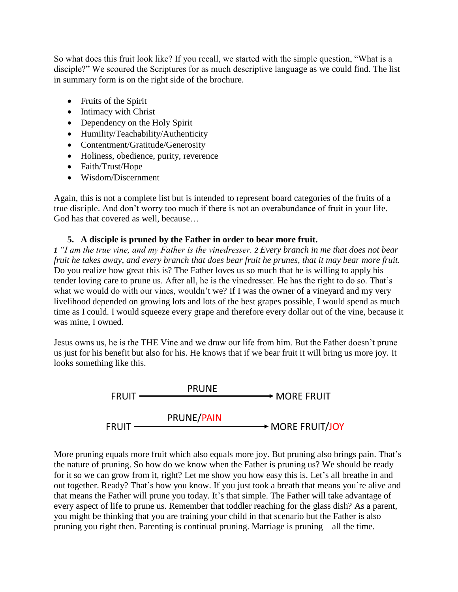So what does this fruit look like? If you recall, we started with the simple question, "What is a disciple?" We scoured the Scriptures for as much descriptive language as we could find. The list in summary form is on the right side of the brochure.

- Fruits of the Spirit
- Intimacy with Christ
- Dependency on the Holy Spirit
- Humility/Teachability/Authenticity
- Contentment/Gratitude/Generosity
- Holiness, obedience, purity, reverence
- Faith/Trust/Hope
- Wisdom/Discernment

Again, this is not a complete list but is intended to represent board categories of the fruits of a true disciple. And don't worry too much if there is not an overabundance of fruit in your life. God has that covered as well, because…

# **5. A disciple is pruned by the Father in order to bear more fruit.**

*1 "I am the true vine, and my Father is the vinedresser. 2 Every branch in me that does not bear fruit he takes away, and every branch that does bear fruit he prunes, that it may bear more fruit.* Do you realize how great this is? The Father loves us so much that he is willing to apply his tender loving care to prune us. After all, he is the vinedresser. He has the right to do so. That's what we would do with our vines, wouldn't we? If I was the owner of a vineyard and my very livelihood depended on growing lots and lots of the best grapes possible, I would spend as much time as I could. I would squeeze every grape and therefore every dollar out of the vine, because it was mine, I owned.

Jesus owns us, he is the THE Vine and we draw our life from him. But the Father doesn't prune us just for his benefit but also for his. He knows that if we bear fruit it will bring us more joy. It looks something like this.



More pruning equals more fruit which also equals more joy. But pruning also brings pain. That's the nature of pruning. So how do we know when the Father is pruning us? We should be ready for it so we can grow from it, right? Let me show you how easy this is. Let's all breathe in and out together. Ready? That's how you know. If you just took a breath that means you're alive and that means the Father will prune you today. It's that simple. The Father will take advantage of every aspect of life to prune us. Remember that toddler reaching for the glass dish? As a parent, you might be thinking that you are training your child in that scenario but the Father is also pruning you right then. Parenting is continual pruning. Marriage is pruning—all the time.